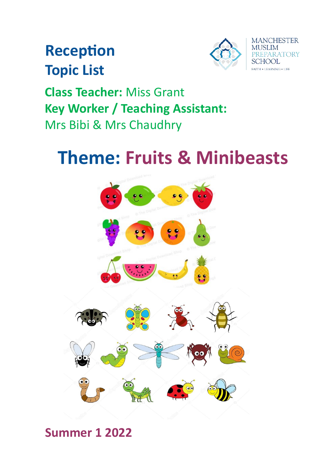# **Reception Topic List**



**Class Teacher:** Miss Grant **Key Worker / Teaching Assistant:** Mrs Bibi & Mrs Chaudhry

# **Theme: Fruits & Minibeasts**



## **Summer 1 2022**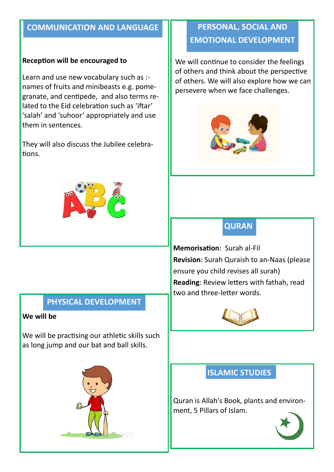### **COMMUNICATION AND LANGUAGE**

#### **Reception will be encouraged to**

Learn and use new vocabulary such as : names of fruits and minibeasts e.g. pomegranate, and centipede, and also terms related to the Eid celebration such as 'iftar' 'salah' and 'suhoor' appropriately and use them in sentences.

They will also discuss the Jubilee celebrations.



### **PHYSICAL DEVELOPMENT**

#### **We will be**

We will be practising our athletic skills such as long jump and our bat and ball skills.



## **PERSONAL, SOCIAL AND EMOTIONAL DEVELOPMENT**

We will continue to consider the feelings of others and think about the perspective of others. We will also explore how we can persevere when we face challenges.



## **QURAN**

**Memorisation**: Surah al-Fil **Revision**: Surah Quraish to an-Naas (please ensure you child revises all surah) **Reading**: Review letters with fathah, read two and three-letter words.



## **ISLAMIC STUDIES**

Quran is Allah's Book, plants and environment, 5 Pillars of Islam.